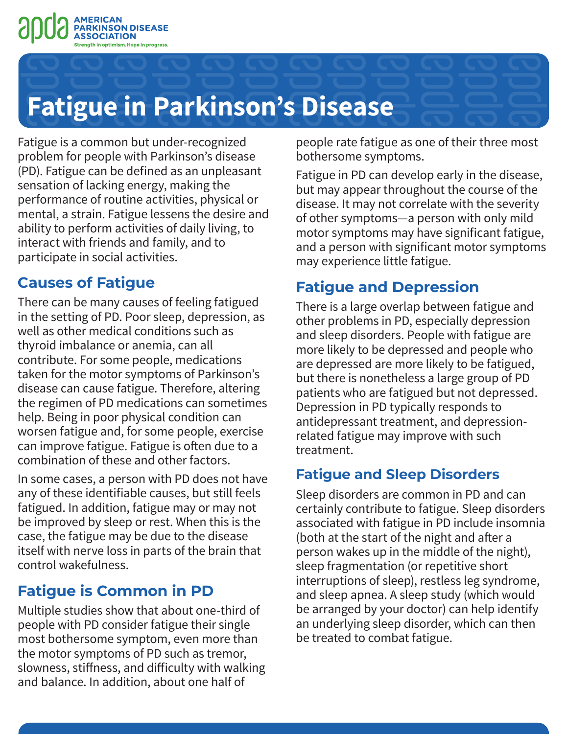

# **Fatigue in Parkinson's Disease**

Fatigue is a common but under-recognized problem for people with Parkinson's disease (PD). Fatigue can be defined as an unpleasant sensation of lacking energy, making the performance of routine activities, physical or mental, a strain. Fatigue lessens the desire and ability to perform activities of daily living, to interact with friends and family, and to participate in social activities.

## **Causes of Fatigue**

There can be many causes of feeling fatigued in the setting of PD. Poor sleep, depression, as well as other medical conditions such as thyroid imbalance or anemia, can all contribute. For some people, medications taken for the motor symptoms of Parkinson's disease can cause fatigue. Therefore, altering the regimen of PD medications can sometimes help. Being in poor physical condition can worsen fatigue and, for some people, exercise can improve fatigue. Fatigue is often due to a combination of these and other factors.

In some cases, a person with PD does not have any of these identifiable causes, but still feels fatigued. In addition, fatigue may or may not be improved by sleep or rest. When this is the case, the fatigue may be due to the disease itself with nerve loss in parts of the brain that control wakefulness.

## **Fatigue is Common in PD**

Multiple studies show that about one-third of people with PD consider fatigue their single most bothersome symptom, even more than the motor symptoms of PD such as tremor, slowness, stiffness, and difficulty with walking and balance. In addition, about one half of

people rate fatigue as one of their three most bothersome symptoms.

Fatigue in PD can develop early in the disease, but may appear throughout the course of the disease. It may not correlate with the severity of other symptoms—a person with only mild motor symptoms may have significant fatigue, and a person with significant motor symptoms may experience little fatigue.

# **Fatigue and Depression**

There is a large overlap between fatigue and other problems in PD, especially depression and sleep disorders. People with fatigue are more likely to be depressed and people who are depressed are more likely to be fatigued, but there is nonetheless a large group of PD patients who are fatigued but not depressed. Depression in PD typically responds to antidepressant treatment, and depressionrelated fatigue may improve with such treatment.

## **Fatigue and Sleep Disorders**

Sleep disorders are common in PD and can certainly contribute to fatigue. Sleep disorders associated with fatigue in PD include insomnia (both at the start of the night and after a person wakes up in the middle of the night), sleep fragmentation (or repetitive short interruptions of sleep), restless leg syndrome, and sleep apnea. A sleep study (which would be arranged by your doctor) can help identify an underlying sleep disorder, which can then be treated to combat fatigue.